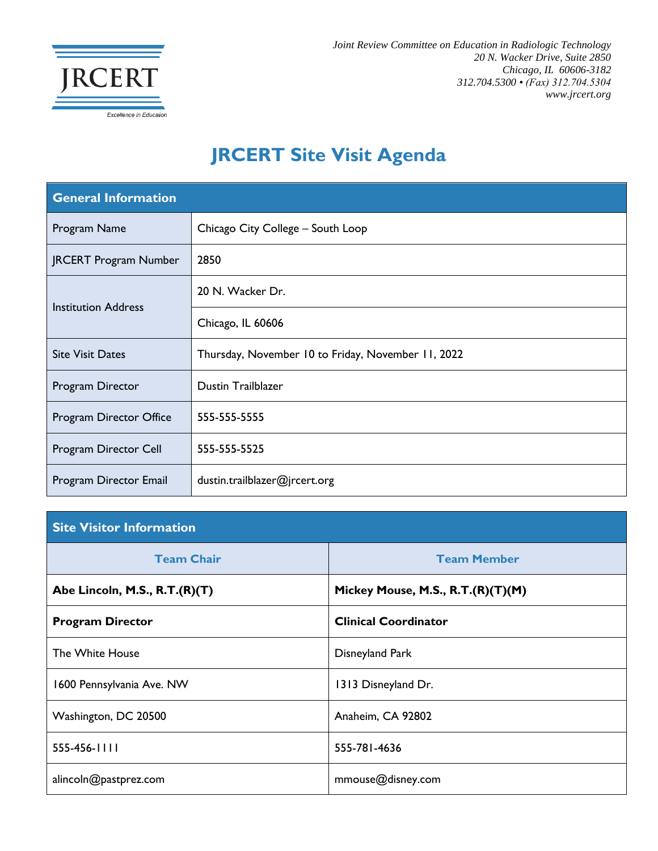

*Joint Review Committee on Education in Radiologic Technology 20 N. Wacker Drive, Suite 2850 Chicago, IL 60606-3182 312.704.5300 • (Fax) 312.704.5304 www.jrcert.org*

## **JRCERT Site Visit Agenda**

| <b>General Information</b>   |                                                    |  |
|------------------------------|----------------------------------------------------|--|
| Program Name                 | Chicago City College - South Loop                  |  |
| <b>JRCERT Program Number</b> | 2850                                               |  |
| <b>Institution Address</b>   | 20 N. Wacker Dr.                                   |  |
|                              | Chicago, IL 60606                                  |  |
| <b>Site Visit Dates</b>      | Thursday, November 10 to Friday, November 11, 2022 |  |
| Program Director             | Dustin Trailblazer                                 |  |
| Program Director Office      | 555-555-5555                                       |  |
| Program Director Cell        | 555-555-5525                                       |  |
| Program Director Email       | dustin.trailblazer@jrcert.org                      |  |

## **Site Visitor Information**

| <b>Team Chair</b>             | <b>Team Member</b>                |  |
|-------------------------------|-----------------------------------|--|
| Abe Lincoln, M.S., R.T.(R)(T) | Mickey Mouse, M.S., R.T.(R)(T)(M) |  |
| <b>Program Director</b>       | <b>Clinical Coordinator</b>       |  |
| The White House               | Disneyland Park                   |  |
| 1600 Pennsylvania Ave. NW     | 1313 Disneyland Dr.               |  |
| Washington, DC 20500          | Anaheim, CA 92802                 |  |
| 555-456-1111                  | 555-781-4636                      |  |
| alincoln@pastprez.com         | mmouse@disney.com                 |  |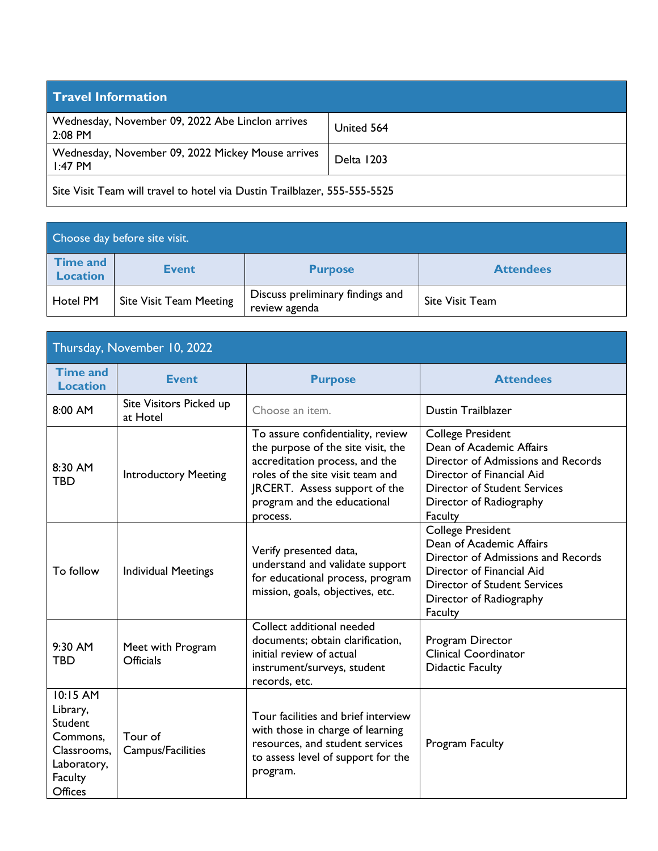| <b>Travel Information</b>                                                 |                   |  |
|---------------------------------------------------------------------------|-------------------|--|
| Wednesday, November 09, 2022 Abe Linclon arrives<br>2:08 PM               | United 564        |  |
| Wednesday, November 09, 2022 Mickey Mouse arrives<br>$1:47$ PM            | <b>Delta</b> 1203 |  |
| Site Visit Team will travel to hotel via Dustin Trailblazer, 555-555-5525 |                   |  |

Choose day before site visit. **Time and Location Event Purpose Attendees** Hotel PM Site Visit Team Meeting Discuss preliminary findings and Discuss preliminary findings and<br>review agenda<br>site Visit Team

| Thursday, November 10, 2022                                                                            |                                       |                                                                                                                                                                                                                           |                                                                                                                                                                                                      |
|--------------------------------------------------------------------------------------------------------|---------------------------------------|---------------------------------------------------------------------------------------------------------------------------------------------------------------------------------------------------------------------------|------------------------------------------------------------------------------------------------------------------------------------------------------------------------------------------------------|
| <b>Time and</b><br><b>Location</b>                                                                     | <b>Event</b>                          | <b>Purpose</b>                                                                                                                                                                                                            | <b>Attendees</b>                                                                                                                                                                                     |
| 8:00 AM                                                                                                | Site Visitors Picked up<br>at Hotel   | Choose an item.                                                                                                                                                                                                           | <b>Dustin Trailblazer</b>                                                                                                                                                                            |
| 8:30 AM<br><b>TBD</b>                                                                                  | <b>Introductory Meeting</b>           | To assure confidentiality, review<br>the purpose of the site visit, the<br>accreditation process, and the<br>roles of the site visit team and<br>JRCERT. Assess support of the<br>program and the educational<br>process. | <b>College President</b><br>Dean of Academic Affairs<br>Director of Admissions and Records<br>Director of Financial Aid<br><b>Director of Student Services</b><br>Director of Radiography<br>Faculty |
| To follow                                                                                              | <b>Individual Meetings</b>            | Verify presented data,<br>understand and validate support<br>for educational process, program<br>mission, goals, objectives, etc.                                                                                         | <b>College President</b><br>Dean of Academic Affairs<br>Director of Admissions and Records<br>Director of Financial Aid<br><b>Director of Student Services</b><br>Director of Radiography<br>Faculty |
| 9:30 AM<br><b>TBD</b>                                                                                  | Meet with Program<br><b>Officials</b> | Collect additional needed<br>documents; obtain clarification,<br>initial review of actual<br>instrument/surveys, student<br>records, etc.                                                                                 | Program Director<br><b>Clinical Coordinator</b><br><b>Didactic Faculty</b>                                                                                                                           |
| 10:15 AM<br>Library,<br>Student<br>Commons,<br>Classrooms,<br>Laboratory,<br><b>Faculty</b><br>Offices | Tour of<br>Campus/Facilities          | Tour facilities and brief interview<br>with those in charge of learning<br>resources, and student services<br>to assess level of support for the<br>program.                                                              | Program Faculty                                                                                                                                                                                      |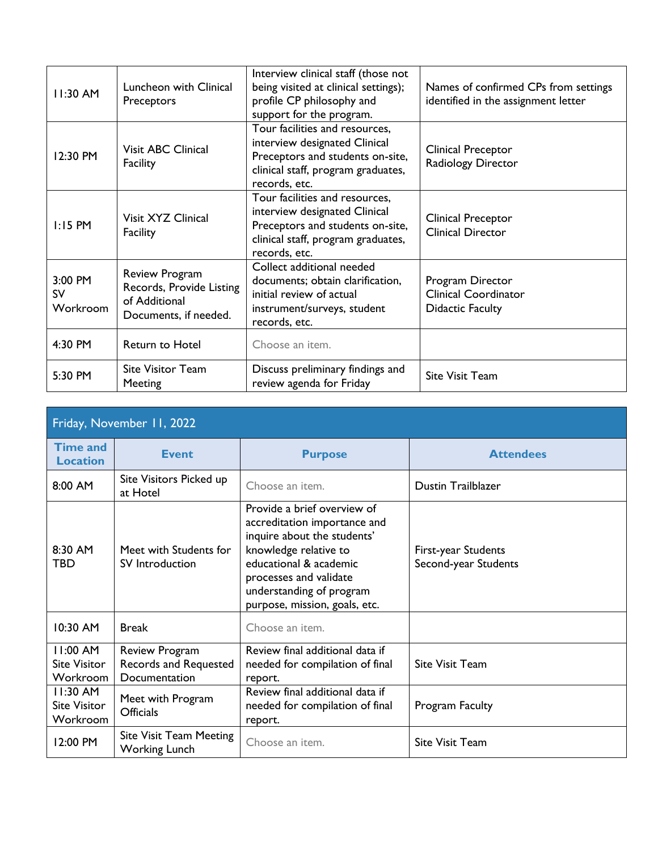| 11:30 AM                         | Luncheon with Clinical<br>Preceptors                                                 | Interview clinical staff (those not<br>being visited at clinical settings);<br>profile CP philosophy and<br>support for the program.                       | Names of confirmed CPs from settings<br>identified in the assignment letter |
|----------------------------------|--------------------------------------------------------------------------------------|------------------------------------------------------------------------------------------------------------------------------------------------------------|-----------------------------------------------------------------------------|
| 12:30 PM                         | <b>Visit ABC Clinical</b><br>Facility                                                | Tour facilities and resources,<br>interview designated Clinical<br>Preceptors and students on-site,<br>clinical staff, program graduates,<br>records, etc. | Clinical Preceptor<br>Radiology Director                                    |
| $1:15$ PM                        | Visit XYZ Clinical<br>Facility                                                       | Tour facilities and resources,<br>interview designated Clinical<br>Preceptors and students on-site,<br>clinical staff, program graduates,<br>records, etc. | Clinical Preceptor<br><b>Clinical Director</b>                              |
| 3:00 PM<br><b>SV</b><br>Workroom | Review Program<br>Records, Provide Listing<br>of Additional<br>Documents, if needed. | Collect additional needed<br>documents; obtain clarification,<br>initial review of actual<br>instrument/surveys, student<br>records, etc.                  | Program Director<br><b>Clinical Coordinator</b><br><b>Didactic Faculty</b>  |
| 4:30 PM                          | Return to Hotel                                                                      | Choose an item.                                                                                                                                            |                                                                             |
| 5:30 PM                          | <b>Site Visitor Team</b><br>Meeting                                                  | Discuss preliminary findings and<br>review agenda for Friday                                                                                               | Site Visit Team                                                             |

| Friday, November 11, 2022                     |                                                          |                                                                                                                                                                                                                                      |                                             |
|-----------------------------------------------|----------------------------------------------------------|--------------------------------------------------------------------------------------------------------------------------------------------------------------------------------------------------------------------------------------|---------------------------------------------|
| <b>Time and</b><br><b>Location</b>            | <b>Event</b>                                             | <b>Purpose</b>                                                                                                                                                                                                                       | <b>Attendees</b>                            |
| 8:00 AM                                       | Site Visitors Picked up<br>at Hotel                      | Choose an item.                                                                                                                                                                                                                      | <b>Dustin Trailblazer</b>                   |
| 8:30 AM<br><b>TBD</b>                         | Meet with Students for<br>SV Introduction                | Provide a brief overview of<br>accreditation importance and<br>inquire about the students'<br>knowledge relative to<br>educational & academic<br>processes and validate<br>understanding of program<br>purpose, mission, goals, etc. | First-year Students<br>Second-year Students |
| 10:30 AM                                      | <b>Break</b>                                             | Choose an item.                                                                                                                                                                                                                      |                                             |
| 11:00 AM<br><b>Site Visitor</b><br>Workroom   | Review Program<br>Records and Requested<br>Documentation | Review final additional data if<br>needed for compilation of final<br>report.                                                                                                                                                        | <b>Site Visit Team</b>                      |
| $11:30$ AM<br><b>Site Visitor</b><br>Workroom | Meet with Program<br><b>Officials</b>                    | Review final additional data if<br>needed for compilation of final<br>report.                                                                                                                                                        | Program Faculty                             |
| 12:00 PM                                      | <b>Site Visit Team Meeting</b><br><b>Working Lunch</b>   | Choose an item.                                                                                                                                                                                                                      | <b>Site Visit Team</b>                      |